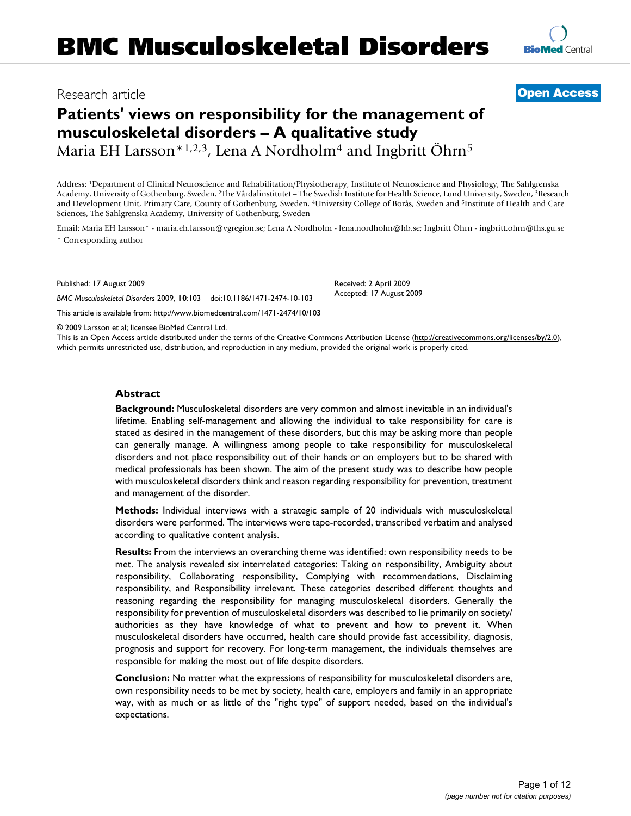# **Patients' views on responsibility for the management of musculoskeletal disorders – A qualitative study** Maria EH Larsson<sup>\*1,2,3</sup>, Lena A Nordholm<sup>4</sup> and Ingbritt Öhrn<sup>5</sup>

Address: 1Department of Clinical Neuroscience and Rehabilitation/Physiotherapy, Institute of Neuroscience and Physiology, The Sahlgrenska Academy, University of Gothenburg, Sweden, 2The Vårdalinstitutet – The Swedish Institute for Health Science, Lund University, Sweden, 3Research and Development Unit, Primary Care, County of Gothenburg, Sweden, 4University College of Borås, Sweden and 5Institute of Health and Care Sciences, The Sahlgrenska Academy, University of Gothenburg, Sweden

Email: Maria EH Larsson\* - maria.eh.larsson@vgregion.se; Lena A Nordholm - lena.nordholm@hb.se; Ingbritt Öhrn - ingbritt.ohrn@fhs.gu.se \* Corresponding author

Published: 17 August 2009

*BMC Musculoskeletal Disorders* 2009, **10**:103 doi:10.1186/1471-2474-10-103 [This article is available from: http://www.biomedcentral.com/1471-2474/10/103](http://www.biomedcentral.com/1471-2474/10/103) Received: 2 April 2009 Accepted: 17 August 2009

© 2009 Larsson et al; licensee BioMed Central Ltd.

This is an Open Access article distributed under the terms of the Creative Commons Attribution License [\(http://creativecommons.org/licenses/by/2.0\)](http://creativecommons.org/licenses/by/2.0), which permits unrestricted use, distribution, and reproduction in any medium, provided the original work is properly cited.

# **Abstract**

**Background:** Musculoskeletal disorders are very common and almost inevitable in an individual's lifetime. Enabling self-management and allowing the individual to take responsibility for care is stated as desired in the management of these disorders, but this may be asking more than people can generally manage. A willingness among people to take responsibility for musculoskeletal disorders and not place responsibility out of their hands or on employers but to be shared with medical professionals has been shown. The aim of the present study was to describe how people with musculoskeletal disorders think and reason regarding responsibility for prevention, treatment and management of the disorder.

**Methods:** Individual interviews with a strategic sample of 20 individuals with musculoskeletal disorders were performed. The interviews were tape-recorded, transcribed verbatim and analysed according to qualitative content analysis.

**Results:** From the interviews an overarching theme was identified: own responsibility needs to be met. The analysis revealed six interrelated categories: Taking on responsibility, Ambiguity about responsibility, Collaborating responsibility, Complying with recommendations, Disclaiming responsibility, and Responsibility irrelevant. These categories described different thoughts and reasoning regarding the responsibility for managing musculoskeletal disorders. Generally the responsibility for prevention of musculoskeletal disorders was described to lie primarily on society/ authorities as they have knowledge of what to prevent and how to prevent it. When musculoskeletal disorders have occurred, health care should provide fast accessibility, diagnosis, prognosis and support for recovery. For long-term management, the individuals themselves are responsible for making the most out of life despite disorders.

**Conclusion:** No matter what the expressions of responsibility for musculoskeletal disorders are, own responsibility needs to be met by society, health care, employers and family in an appropriate way, with as much or as little of the "right type" of support needed, based on the individual's expectations.



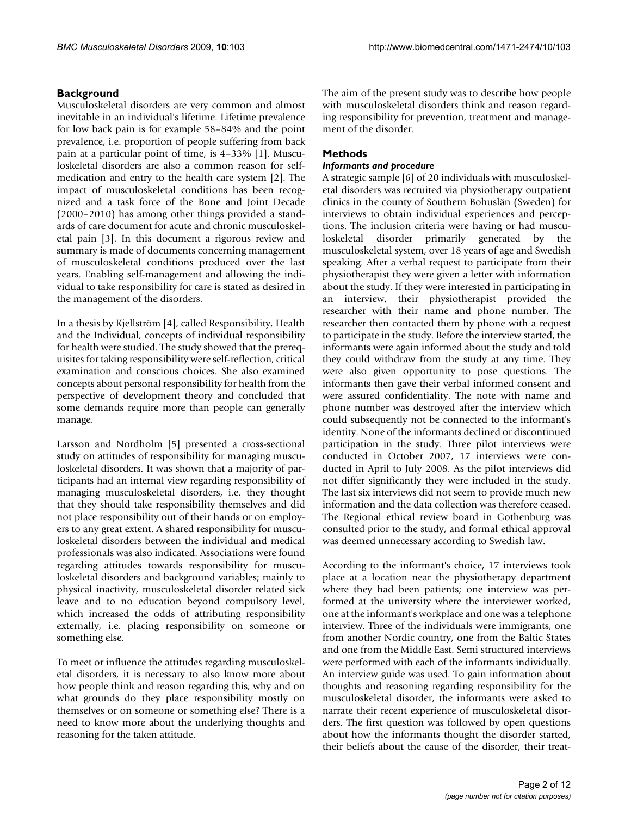# **Background**

Musculoskeletal disorders are very common and almost inevitable in an individual's lifetime. Lifetime prevalence for low back pain is for example 58–84% and the point prevalence, i.e. proportion of people suffering from back pain at a particular point of time, is 4–33% [1]. Musculoskeletal disorders are also a common reason for selfmedication and entry to the health care system [2]. The impact of musculoskeletal conditions has been recognized and a task force of the Bone and Joint Decade (2000–2010) has among other things provided a standards of care document for acute and chronic musculoskeletal pain [3]. In this document a rigorous review and summary is made of documents concerning management of musculoskeletal conditions produced over the last years. Enabling self-management and allowing the individual to take responsibility for care is stated as desired in the management of the disorders.

In a thesis by Kjellström [4], called Responsibility, Health and the Individual, concepts of individual responsibility for health were studied. The study showed that the prerequisites for taking responsibility were self-reflection, critical examination and conscious choices. She also examined concepts about personal responsibility for health from the perspective of development theory and concluded that some demands require more than people can generally manage.

Larsson and Nordholm [5] presented a cross-sectional study on attitudes of responsibility for managing musculoskeletal disorders. It was shown that a majority of participants had an internal view regarding responsibility of managing musculoskeletal disorders, i.e. they thought that they should take responsibility themselves and did not place responsibility out of their hands or on employers to any great extent. A shared responsibility for musculoskeletal disorders between the individual and medical professionals was also indicated. Associations were found regarding attitudes towards responsibility for musculoskeletal disorders and background variables; mainly to physical inactivity, musculoskeletal disorder related sick leave and to no education beyond compulsory level, which increased the odds of attributing responsibility externally, i.e. placing responsibility on someone or something else.

To meet or influence the attitudes regarding musculoskeletal disorders, it is necessary to also know more about how people think and reason regarding this; why and on what grounds do they place responsibility mostly on themselves or on someone or something else? There is a need to know more about the underlying thoughts and reasoning for the taken attitude.

The aim of the present study was to describe how people with musculoskeletal disorders think and reason regarding responsibility for prevention, treatment and management of the disorder.

# **Methods**

# *Informants and procedure*

A strategic sample [6] of 20 individuals with musculoskeletal disorders was recruited via physiotherapy outpatient clinics in the county of Southern Bohuslän (Sweden) for interviews to obtain individual experiences and perceptions. The inclusion criteria were having or had musculoskeletal disorder primarily generated by the musculoskeletal system, over 18 years of age and Swedish speaking. After a verbal request to participate from their physiotherapist they were given a letter with information about the study. If they were interested in participating in an interview, their physiotherapist provided the researcher with their name and phone number. The researcher then contacted them by phone with a request to participate in the study. Before the interview started, the informants were again informed about the study and told they could withdraw from the study at any time. They were also given opportunity to pose questions. The informants then gave their verbal informed consent and were assured confidentiality. The note with name and phone number was destroyed after the interview which could subsequently not be connected to the informant's identity. None of the informants declined or discontinued participation in the study. Three pilot interviews were conducted in October 2007, 17 interviews were conducted in April to July 2008. As the pilot interviews did not differ significantly they were included in the study. The last six interviews did not seem to provide much new information and the data collection was therefore ceased. The Regional ethical review board in Gothenburg was consulted prior to the study, and formal ethical approval was deemed unnecessary according to Swedish law.

According to the informant's choice, 17 interviews took place at a location near the physiotherapy department where they had been patients; one interview was performed at the university where the interviewer worked, one at the informant's workplace and one was a telephone interview. Three of the individuals were immigrants, one from another Nordic country, one from the Baltic States and one from the Middle East. Semi structured interviews were performed with each of the informants individually. An interview guide was used. To gain information about thoughts and reasoning regarding responsibility for the musculoskeletal disorder, the informants were asked to narrate their recent experience of musculoskeletal disorders. The first question was followed by open questions about how the informants thought the disorder started, their beliefs about the cause of the disorder, their treat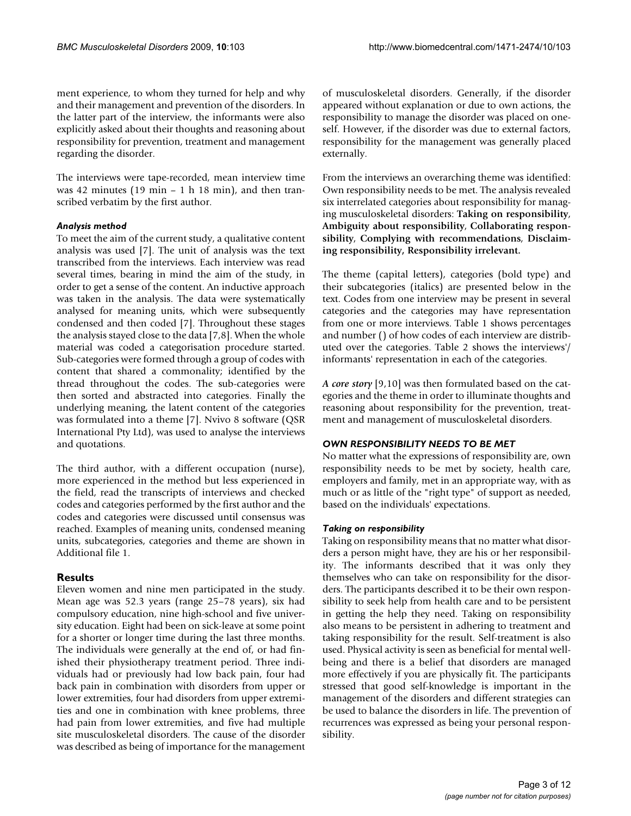ment experience, to whom they turned for help and why and their management and prevention of the disorders. In the latter part of the interview, the informants were also explicitly asked about their thoughts and reasoning about responsibility for prevention, treatment and management regarding the disorder.

The interviews were tape-recorded, mean interview time was 42 minutes (19 min – 1 h 18 min), and then transcribed verbatim by the first author.

# *Analysis method*

To meet the aim of the current study, a qualitative content analysis was used [7]. The unit of analysis was the text transcribed from the interviews. Each interview was read several times, bearing in mind the aim of the study, in order to get a sense of the content. An inductive approach was taken in the analysis. The data were systematically analysed for meaning units, which were subsequently condensed and then coded [7]. Throughout these stages the analysis stayed close to the data [7,8]. When the whole material was coded a categorisation procedure started. Sub-categories were formed through a group of codes with content that shared a commonality; identified by the thread throughout the codes. The sub-categories were then sorted and abstracted into categories. Finally the underlying meaning, the latent content of the categories was formulated into a theme [7]. Nvivo 8 software (QSR International Pty Ltd), was used to analyse the interviews and quotations.

The third author, with a different occupation (nurse), more experienced in the method but less experienced in the field, read the transcripts of interviews and checked codes and categories performed by the first author and the codes and categories were discussed until consensus was reached. Examples of meaning units, condensed meaning units, subcategories, categories and theme are shown in Additional file 1.

# **Results**

Eleven women and nine men participated in the study. Mean age was 52.3 years (range 25–78 years), six had compulsory education, nine high-school and five university education. Eight had been on sick-leave at some point for a shorter or longer time during the last three months. The individuals were generally at the end of, or had finished their physiotherapy treatment period. Three individuals had or previously had low back pain, four had back pain in combination with disorders from upper or lower extremities, four had disorders from upper extremities and one in combination with knee problems, three had pain from lower extremities, and five had multiple site musculoskeletal disorders. The cause of the disorder was described as being of importance for the management

of musculoskeletal disorders. Generally, if the disorder appeared without explanation or due to own actions, the responsibility to manage the disorder was placed on oneself. However, if the disorder was due to external factors, responsibility for the management was generally placed externally.

From the interviews an overarching theme was identified: Own responsibility needs to be met. The analysis revealed six interrelated categories about responsibility for managing musculoskeletal disorders: **Taking on responsibility**, **Ambiguity about responsibility**, **Collaborating responsibility**, **Complying with recommendations**, **Disclaiming responsibility, Responsibility irrelevant.**

The theme (capital letters), categories (bold type) and their subcategories (italics) are presented below in the text. Codes from one interview may be present in several categories and the categories may have representation from one or more interviews. Table 1 shows percentages and number () of how codes of each interview are distributed over the categories. Table 2 shows the interviews'/ informants' representation in each of the categories.

*A core story* [9,10] was then formulated based on the categories and the theme in order to illuminate thoughts and reasoning about responsibility for the prevention, treatment and management of musculoskeletal disorders.

# *OWN RESPONSIBILITY NEEDS TO BE MET*

No matter what the expressions of responsibility are, own responsibility needs to be met by society, health care, employers and family, met in an appropriate way, with as much or as little of the "right type" of support as needed, based on the individuals' expectations.

# *Taking on responsibility*

Taking on responsibility means that no matter what disorders a person might have, they are his or her responsibility. The informants described that it was only they themselves who can take on responsibility for the disorders. The participants described it to be their own responsibility to seek help from health care and to be persistent in getting the help they need. Taking on responsibility also means to be persistent in adhering to treatment and taking responsibility for the result. Self-treatment is also used. Physical activity is seen as beneficial for mental wellbeing and there is a belief that disorders are managed more effectively if you are physically fit. The participants stressed that good self-knowledge is important in the management of the disorders and different strategies can be used to balance the disorders in life. The prevention of recurrences was expressed as being your personal responsibility.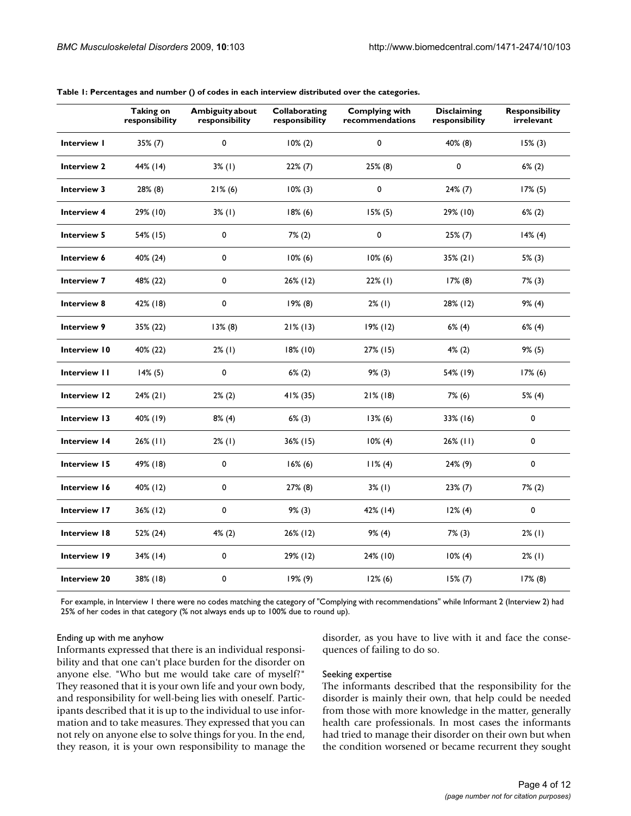|                     | Taking on<br>responsibility | Ambiguity about<br>responsibility | Collaborating<br>responsibility | <b>Complying with</b><br>recommendations | <b>Disclaiming</b><br>responsibility | Responsibility<br>irrelevant |  |
|---------------------|-----------------------------|-----------------------------------|---------------------------------|------------------------------------------|--------------------------------------|------------------------------|--|
| <b>Interview I</b>  | $35\%$ (7)                  | $\pmb{0}$                         | $10\% (2)$                      | 0                                        | 40% (8)                              | $15\%$ (3)                   |  |
| <b>Interview 2</b>  | 44% (14)                    | $3\%$ (1)                         | $22\%$ (7)                      | 25% (8)                                  | 0                                    | $6\%$ (2)                    |  |
| <b>Interview 3</b>  | 28% (8)                     | $21\%$ (6)                        | $10\%$ (3)                      | 0                                        | $24\%$ (7)                           | $17%$ (5)                    |  |
| <b>Interview 4</b>  | 29% (10)                    | 3% (1)                            | 18%(6)                          | $15%$ (5)                                | 29% (10)                             | $6\%$ (2)                    |  |
| <b>Interview 5</b>  | 54% (15)                    | 0                                 | $7\%$ (2)                       | 0                                        | $25\%$ (7)                           | 14% (4)                      |  |
| Interview 6         | 40% (24)                    | 0                                 | $10\%$ (6)                      | $10%$ (6)                                | 35% (21)                             | $5\%$ (3)                    |  |
| <b>Interview 7</b>  | 48% (22)                    | 0                                 | 26% (12)                        | $22\%$ (1)                               | 17% (8)                              | $7\%$ (3)                    |  |
| <b>Interview 8</b>  | 42% (18)                    | 0                                 | 19% (8)                         | $2\%$ (1)                                | 28% (12)                             | 9% (4)                       |  |
| <b>Interview 9</b>  | 35% (22)                    | $13\%$ (8)                        | $21\%$ (13)                     | 19% (12)                                 | $6\%$ (4)                            | $6\%$ (4)                    |  |
| <b>Interview 10</b> | 40% (22)                    | $2\%$ (1)                         | 18%(10)                         | 27% (15)                                 | $4\%$ (2)                            | $9\%$ (5)                    |  |
| Interview II        | $14\%$ (5)                  | 0                                 | $6\%$ (2)                       | $9\%$ (3)                                | 54% (19)                             | $17%$ (6)                    |  |
| Interview 12        | 24% (21)                    | $2\%$ (2)                         | 41% (35)                        | $21\%$ (18)                              | 7% (6)                               | $5\%$ (4)                    |  |
| <b>Interview 13</b> | 40% (19)                    | $8\%$ (4)                         | $6\%$ (3)                       | 13% (6)                                  | 33% (16)                             | 0                            |  |
| <b>Interview 14</b> | $26\%$ (11)                 | $2\%$ (1)                         | 36% (15)                        | $10\%$ (4)                               | $26\%$ (11)                          | 0                            |  |
| <b>Interview 15</b> | 49% (18)                    | 0                                 | $16\%$ (6)                      | $11\%$ (4)                               | 24% (9)                              | 0                            |  |
| Interview 16        | 40% (12)                    | 0                                 | 27% (8)                         | $3\%$ (1)                                | $23\%$ (7)                           | $7\%$ (2)                    |  |
| <b>Interview 17</b> | 36% (12)                    | 0                                 | $9\%$ (3)                       | 42% (14)                                 | $12\%$ (4)                           | 0                            |  |
| Interview 18        | 52% (24)                    | $4\%$ (2)                         | 26% (12)                        | $9\%$ (4)                                | $7\%$ (3)                            | $2\%$ (1)                    |  |
| <b>Interview 19</b> | $34\%$ (14)                 | 0                                 | 29% (12)                        | 24% (10)                                 | $10\%$ (4)                           | $2\%$ (1)                    |  |
| <b>Interview 20</b> | 38% (18)                    | 0                                 | 19% (9)                         | $12%$ (6)                                | $15\% (7)$                           | 17% (8)                      |  |

**Table 1: Percentages and number () of codes in each interview distributed over the categories.**

For example, in Interview 1 there were no codes matching the category of "Complying with recommendations" while Informant 2 (Interview 2) had 25% of her codes in that category (% not always ends up to 100% due to round up).

#### Ending up with me anyhow

Informants expressed that there is an individual responsibility and that one can't place burden for the disorder on anyone else. "Who but me would take care of myself?" They reasoned that it is your own life and your own body, and responsibility for well-being lies with oneself. Participants described that it is up to the individual to use information and to take measures. They expressed that you can not rely on anyone else to solve things for you. In the end, they reason, it is your own responsibility to manage the disorder, as you have to live with it and face the consequences of failing to do so.

#### Seeking expertise

The informants described that the responsibility for the disorder is mainly their own, that help could be needed from those with more knowledge in the matter, generally health care professionals. In most cases the informants had tried to manage their disorder on their own but when the condition worsened or became recurrent they sought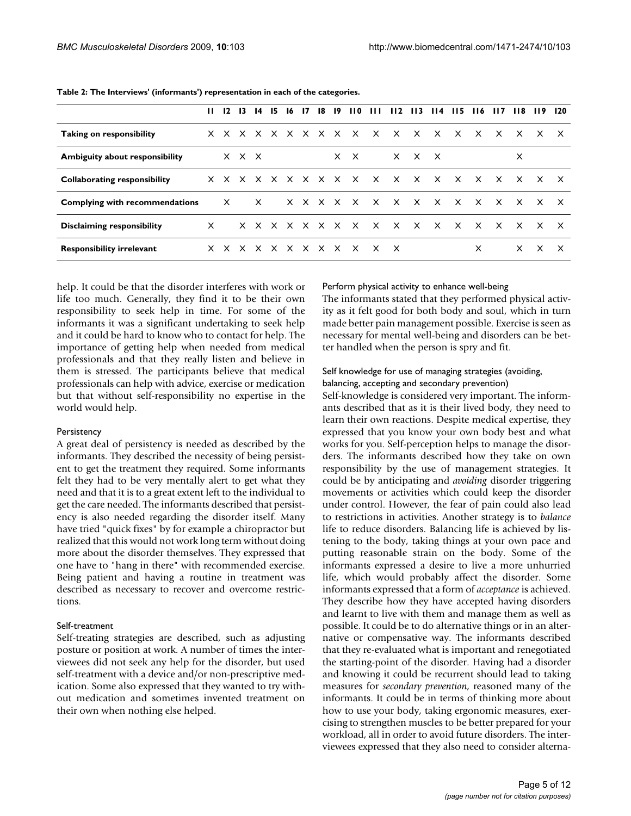|                                       | п | 12 | - 13  | 14 | -15 | 16 17 | - 18 | 19 | $\blacksquare$        |              | $\overline{112}$ $\overline{113}$ |              | 114 115      |              | 116 117 |    | 118 119      |              | 120 |
|---------------------------------------|---|----|-------|----|-----|-------|------|----|-----------------------|--------------|-----------------------------------|--------------|--------------|--------------|---------|----|--------------|--------------|-----|
| Taking on responsibility              |   |    |       |    |     |       |      |    | x x x x x x x x x x   | $\mathsf{X}$ | X X                               |              | $\mathsf{X}$ | X.           | X.      | X. | X.           |              | X.  |
| Ambiguity about responsibility        |   |    | x x x |    |     |       |      |    | x x                   |              | $\times$ $\times$ $\times$        |              |              |              |         |    | х            |              |     |
| <b>Collaborating responsibility</b>   |   |    |       |    |     |       |      |    |                       |              | x x x x x x x x x x x x           |              | $\mathsf{X}$ | X.           | X.      | X. | $\mathsf{X}$ | X.           |     |
| <b>Complying with recommendations</b> |   | X  |       | X  |     |       |      |    |                       |              | x x x x x x x                     | $\mathsf{X}$ | X.           | $\mathsf{X}$ | X.      | X. | X.           | X.           |     |
| <b>Disclaiming responsibility</b>     | X |    |       |    |     |       |      |    |                       |              | X X X X X X X X X X               |              | $\mathsf{X}$ | X.           | X.      | X. | X.           |              |     |
| <b>Responsibility irrelevant</b>      |   |    |       |    |     |       |      |    | x x x x x x x x x x x |              | $\mathsf{X}$                      |              |              |              | X       |    | X            | $\mathsf{x}$ | X   |

**Table 2: The Interviews' (informants') representation in each of the categories.**

help. It could be that the disorder interferes with work or life too much. Generally, they find it to be their own responsibility to seek help in time. For some of the informants it was a significant undertaking to seek help and it could be hard to know who to contact for help. The importance of getting help when needed from medical professionals and that they really listen and believe in them is stressed. The participants believe that medical professionals can help with advice, exercise or medication but that without self-responsibility no expertise in the world would help.

#### **Persistency**

A great deal of persistency is needed as described by the informants. They described the necessity of being persistent to get the treatment they required. Some informants felt they had to be very mentally alert to get what they need and that it is to a great extent left to the individual to get the care needed. The informants described that persistency is also needed regarding the disorder itself. Many have tried "quick fixes" by for example a chiropractor but realized that this would not work long term without doing more about the disorder themselves. They expressed that one have to "hang in there" with recommended exercise. Being patient and having a routine in treatment was described as necessary to recover and overcome restrictions.

#### Self-treatment

Self-treating strategies are described, such as adjusting posture or position at work. A number of times the interviewees did not seek any help for the disorder, but used self-treatment with a device and/or non-prescriptive medication. Some also expressed that they wanted to try without medication and sometimes invented treatment on their own when nothing else helped.

#### Perform physical activity to enhance well-being

The informants stated that they performed physical activity as it felt good for both body and soul, which in turn made better pain management possible. Exercise is seen as necessary for mental well-being and disorders can be better handled when the person is spry and fit.

#### Self knowledge for use of managing strategies (avoiding, balancing, accepting and secondary prevention)

Self-knowledge is considered very important. The informants described that as it is their lived body, they need to learn their own reactions. Despite medical expertise, they expressed that you know your own body best and what works for you. Self-perception helps to manage the disorders. The informants described how they take on own responsibility by the use of management strategies. It could be by anticipating and *avoiding* disorder triggering movements or activities which could keep the disorder under control. However, the fear of pain could also lead to restrictions in activities. Another strategy is to *balance* life to reduce disorders. Balancing life is achieved by listening to the body, taking things at your own pace and putting reasonable strain on the body. Some of the informants expressed a desire to live a more unhurried life, which would probably affect the disorder. Some informants expressed that a form of *acceptance* is achieved. They describe how they have accepted having disorders and learnt to live with them and manage them as well as possible. It could be to do alternative things or in an alternative or compensative way. The informants described that they re-evaluated what is important and renegotiated the starting-point of the disorder. Having had a disorder and knowing it could be recurrent should lead to taking measures for *secondary prevention*, reasoned many of the informants. It could be in terms of thinking more about how to use your body, taking ergonomic measures, exercising to strengthen muscles to be better prepared for your workload, all in order to avoid future disorders. The interviewees expressed that they also need to consider alterna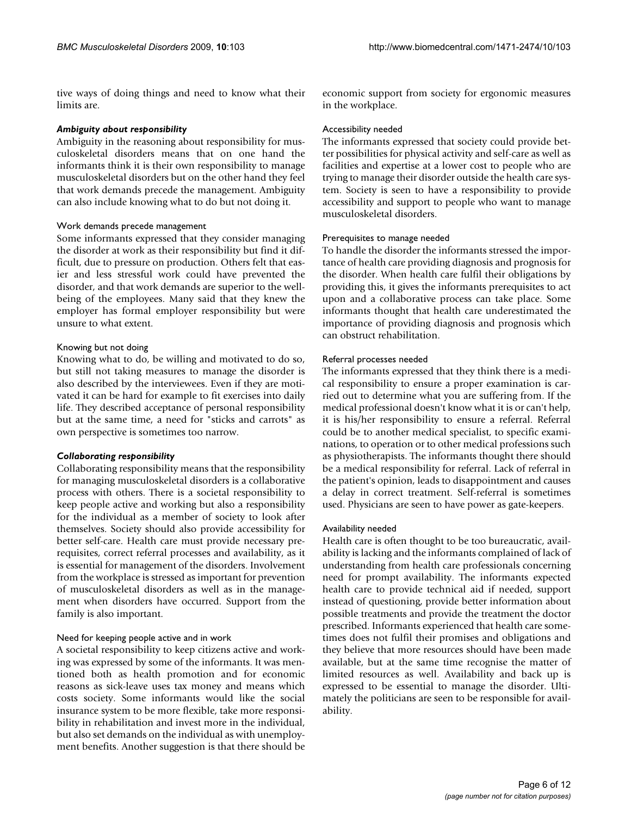tive ways of doing things and need to know what their limits are.

# *Ambiguity about responsibility*

Ambiguity in the reasoning about responsibility for musculoskeletal disorders means that on one hand the informants think it is their own responsibility to manage musculoskeletal disorders but on the other hand they feel that work demands precede the management. Ambiguity can also include knowing what to do but not doing it.

#### Work demands precede management

Some informants expressed that they consider managing the disorder at work as their responsibility but find it difficult, due to pressure on production. Others felt that easier and less stressful work could have prevented the disorder, and that work demands are superior to the wellbeing of the employees. Many said that they knew the employer has formal employer responsibility but were unsure to what extent.

# Knowing but not doing

Knowing what to do, be willing and motivated to do so, but still not taking measures to manage the disorder is also described by the interviewees. Even if they are motivated it can be hard for example to fit exercises into daily life. They described acceptance of personal responsibility but at the same time, a need for "sticks and carrots" as own perspective is sometimes too narrow.

# *Collaborating responsibility*

Collaborating responsibility means that the responsibility for managing musculoskeletal disorders is a collaborative process with others. There is a societal responsibility to keep people active and working but also a responsibility for the individual as a member of society to look after themselves. Society should also provide accessibility for better self-care. Health care must provide necessary prerequisites, correct referral processes and availability, as it is essential for management of the disorders. Involvement from the workplace is stressed as important for prevention of musculoskeletal disorders as well as in the management when disorders have occurred. Support from the family is also important.

# Need for keeping people active and in work

A societal responsibility to keep citizens active and working was expressed by some of the informants. It was mentioned both as health promotion and for economic reasons as sick-leave uses tax money and means which costs society. Some informants would like the social insurance system to be more flexible, take more responsibility in rehabilitation and invest more in the individual, but also set demands on the individual as with unemployment benefits. Another suggestion is that there should be economic support from society for ergonomic measures in the workplace.

# Accessibility needed

The informants expressed that society could provide better possibilities for physical activity and self-care as well as facilities and expertise at a lower cost to people who are trying to manage their disorder outside the health care system. Society is seen to have a responsibility to provide accessibility and support to people who want to manage musculoskeletal disorders.

# Prerequisites to manage needed

To handle the disorder the informants stressed the importance of health care providing diagnosis and prognosis for the disorder. When health care fulfil their obligations by providing this, it gives the informants prerequisites to act upon and a collaborative process can take place. Some informants thought that health care underestimated the importance of providing diagnosis and prognosis which can obstruct rehabilitation.

# Referral processes needed

The informants expressed that they think there is a medical responsibility to ensure a proper examination is carried out to determine what you are suffering from. If the medical professional doesn't know what it is or can't help, it is his/her responsibility to ensure a referral. Referral could be to another medical specialist, to specific examinations, to operation or to other medical professions such as physiotherapists. The informants thought there should be a medical responsibility for referral. Lack of referral in the patient's opinion, leads to disappointment and causes a delay in correct treatment. Self-referral is sometimes used. Physicians are seen to have power as gate-keepers.

# Availability needed

Health care is often thought to be too bureaucratic, availability is lacking and the informants complained of lack of understanding from health care professionals concerning need for prompt availability. The informants expected health care to provide technical aid if needed, support instead of questioning, provide better information about possible treatments and provide the treatment the doctor prescribed. Informants experienced that health care sometimes does not fulfil their promises and obligations and they believe that more resources should have been made available, but at the same time recognise the matter of limited resources as well. Availability and back up is expressed to be essential to manage the disorder. Ultimately the politicians are seen to be responsible for availability.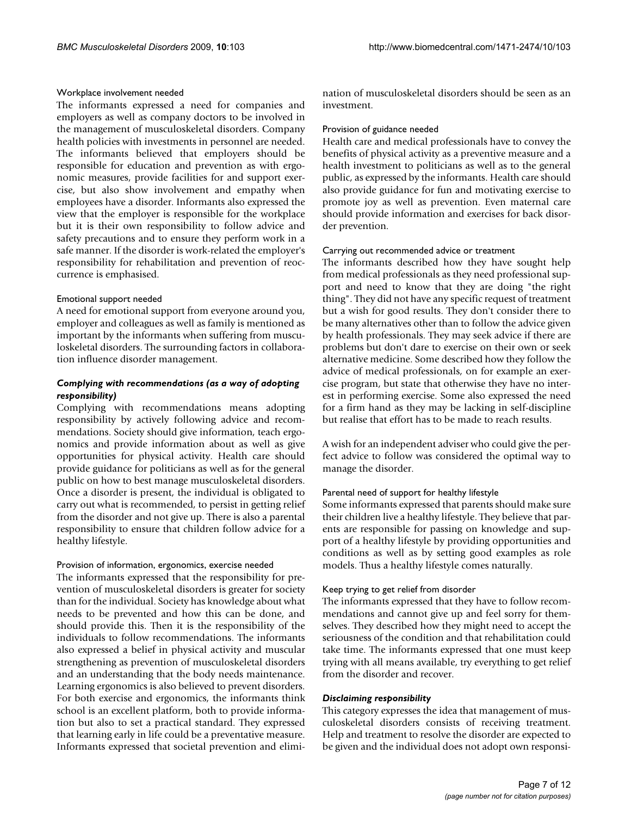#### Workplace involvement needed

The informants expressed a need for companies and employers as well as company doctors to be involved in the management of musculoskeletal disorders. Company health policies with investments in personnel are needed. The informants believed that employers should be responsible for education and prevention as with ergonomic measures, provide facilities for and support exercise, but also show involvement and empathy when employees have a disorder. Informants also expressed the view that the employer is responsible for the workplace but it is their own responsibility to follow advice and safety precautions and to ensure they perform work in a safe manner. If the disorder is work-related the employer's responsibility for rehabilitation and prevention of reoccurrence is emphasised.

#### Emotional support needed

A need for emotional support from everyone around you, employer and colleagues as well as family is mentioned as important by the informants when suffering from musculoskeletal disorders. The surrounding factors in collaboration influence disorder management.

# *Complying with recommendations (as a way of adopting responsibility)*

Complying with recommendations means adopting responsibility by actively following advice and recommendations. Society should give information, teach ergonomics and provide information about as well as give opportunities for physical activity. Health care should provide guidance for politicians as well as for the general public on how to best manage musculoskeletal disorders. Once a disorder is present, the individual is obligated to carry out what is recommended, to persist in getting relief from the disorder and not give up. There is also a parental responsibility to ensure that children follow advice for a healthy lifestyle.

#### Provision of information, ergonomics, exercise needed

The informants expressed that the responsibility for prevention of musculoskeletal disorders is greater for society than for the individual. Society has knowledge about what needs to be prevented and how this can be done, and should provide this. Then it is the responsibility of the individuals to follow recommendations. The informants also expressed a belief in physical activity and muscular strengthening as prevention of musculoskeletal disorders and an understanding that the body needs maintenance. Learning ergonomics is also believed to prevent disorders. For both exercise and ergonomics, the informants think school is an excellent platform, both to provide information but also to set a practical standard. They expressed that learning early in life could be a preventative measure. Informants expressed that societal prevention and elimination of musculoskeletal disorders should be seen as an investment.

#### Provision of guidance needed

Health care and medical professionals have to convey the benefits of physical activity as a preventive measure and a health investment to politicians as well as to the general public, as expressed by the informants. Health care should also provide guidance for fun and motivating exercise to promote joy as well as prevention. Even maternal care should provide information and exercises for back disorder prevention.

#### Carrying out recommended advice or treatment

The informants described how they have sought help from medical professionals as they need professional support and need to know that they are doing "the right thing". They did not have any specific request of treatment but a wish for good results. They don't consider there to be many alternatives other than to follow the advice given by health professionals. They may seek advice if there are problems but don't dare to exercise on their own or seek alternative medicine. Some described how they follow the advice of medical professionals, on for example an exercise program, but state that otherwise they have no interest in performing exercise. Some also expressed the need for a firm hand as they may be lacking in self-discipline but realise that effort has to be made to reach results.

A wish for an independent adviser who could give the perfect advice to follow was considered the optimal way to manage the disorder.

# Parental need of support for healthy lifestyle

Some informants expressed that parents should make sure their children live a healthy lifestyle. They believe that parents are responsible for passing on knowledge and support of a healthy lifestyle by providing opportunities and conditions as well as by setting good examples as role models. Thus a healthy lifestyle comes naturally.

# Keep trying to get relief from disorder

The informants expressed that they have to follow recommendations and cannot give up and feel sorry for themselves. They described how they might need to accept the seriousness of the condition and that rehabilitation could take time. The informants expressed that one must keep trying with all means available, try everything to get relief from the disorder and recover.

#### *Disclaiming responsibility*

This category expresses the idea that management of musculoskeletal disorders consists of receiving treatment. Help and treatment to resolve the disorder are expected to be given and the individual does not adopt own responsi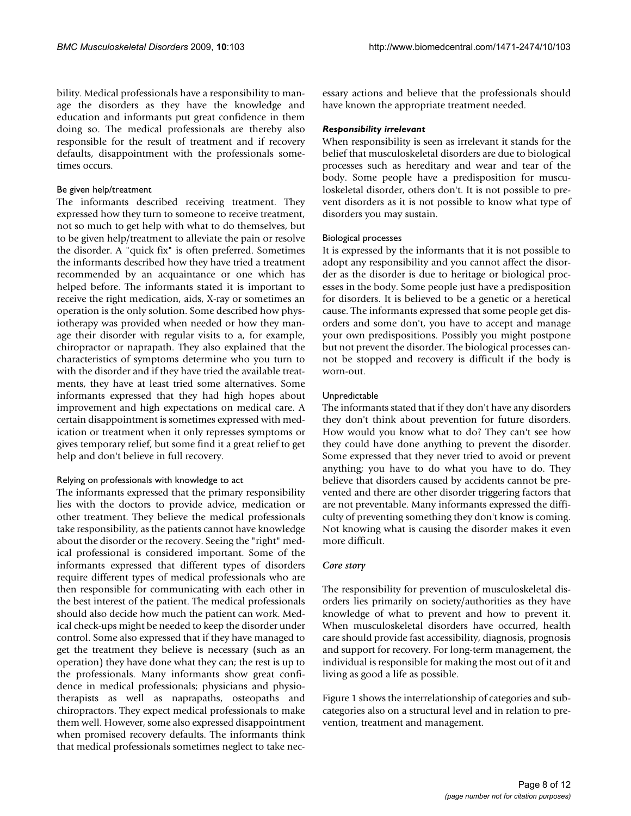bility. Medical professionals have a responsibility to manage the disorders as they have the knowledge and education and informants put great confidence in them doing so. The medical professionals are thereby also responsible for the result of treatment and if recovery defaults, disappointment with the professionals sometimes occurs.

# Be given help/treatment

The informants described receiving treatment. They expressed how they turn to someone to receive treatment, not so much to get help with what to do themselves, but to be given help/treatment to alleviate the pain or resolve the disorder. A "quick fix" is often preferred. Sometimes the informants described how they have tried a treatment recommended by an acquaintance or one which has helped before. The informants stated it is important to receive the right medication, aids, X-ray or sometimes an operation is the only solution. Some described how physiotherapy was provided when needed or how they manage their disorder with regular visits to a, for example, chiropractor or naprapath. They also explained that the characteristics of symptoms determine who you turn to with the disorder and if they have tried the available treatments, they have at least tried some alternatives. Some informants expressed that they had high hopes about improvement and high expectations on medical care. A certain disappointment is sometimes expressed with medication or treatment when it only represses symptoms or gives temporary relief, but some find it a great relief to get help and don't believe in full recovery.

# Relying on professionals with knowledge to act

The informants expressed that the primary responsibility lies with the doctors to provide advice, medication or other treatment. They believe the medical professionals take responsibility, as the patients cannot have knowledge about the disorder or the recovery. Seeing the "right" medical professional is considered important. Some of the informants expressed that different types of disorders require different types of medical professionals who are then responsible for communicating with each other in the best interest of the patient. The medical professionals should also decide how much the patient can work. Medical check-ups might be needed to keep the disorder under control. Some also expressed that if they have managed to get the treatment they believe is necessary (such as an operation) they have done what they can; the rest is up to the professionals. Many informants show great confidence in medical professionals; physicians and physiotherapists as well as naprapaths, osteopaths and chiropractors. They expect medical professionals to make them well. However, some also expressed disappointment when promised recovery defaults. The informants think that medical professionals sometimes neglect to take necessary actions and believe that the professionals should have known the appropriate treatment needed.

# *Responsibility irrelevant*

When responsibility is seen as irrelevant it stands for the belief that musculoskeletal disorders are due to biological processes such as hereditary and wear and tear of the body. Some people have a predisposition for musculoskeletal disorder, others don't. It is not possible to prevent disorders as it is not possible to know what type of disorders you may sustain.

# Biological processes

It is expressed by the informants that it is not possible to adopt any responsibility and you cannot affect the disorder as the disorder is due to heritage or biological processes in the body. Some people just have a predisposition for disorders. It is believed to be a genetic or a heretical cause. The informants expressed that some people get disorders and some don't, you have to accept and manage your own predispositions. Possibly you might postpone but not prevent the disorder. The biological processes cannot be stopped and recovery is difficult if the body is worn-out.

# Unpredictable

The informants stated that if they don't have any disorders they don't think about prevention for future disorders. How would you know what to do? They can't see how they could have done anything to prevent the disorder. Some expressed that they never tried to avoid or prevent anything; you have to do what you have to do. They believe that disorders caused by accidents cannot be prevented and there are other disorder triggering factors that are not preventable. Many informants expressed the difficulty of preventing something they don't know is coming. Not knowing what is causing the disorder makes it even more difficult.

# *Core story*

The responsibility for prevention of musculoskeletal disorders lies primarily on society/authorities as they have knowledge of what to prevent and how to prevent it. When musculoskeletal disorders have occurred, health care should provide fast accessibility, diagnosis, prognosis and support for recovery. For long-term management, the individual is responsible for making the most out of it and living as good a life as possible.

Figure 1 shows the interrelationship of categories and subcategories also on a structural level and in relation to prevention, treatment and management.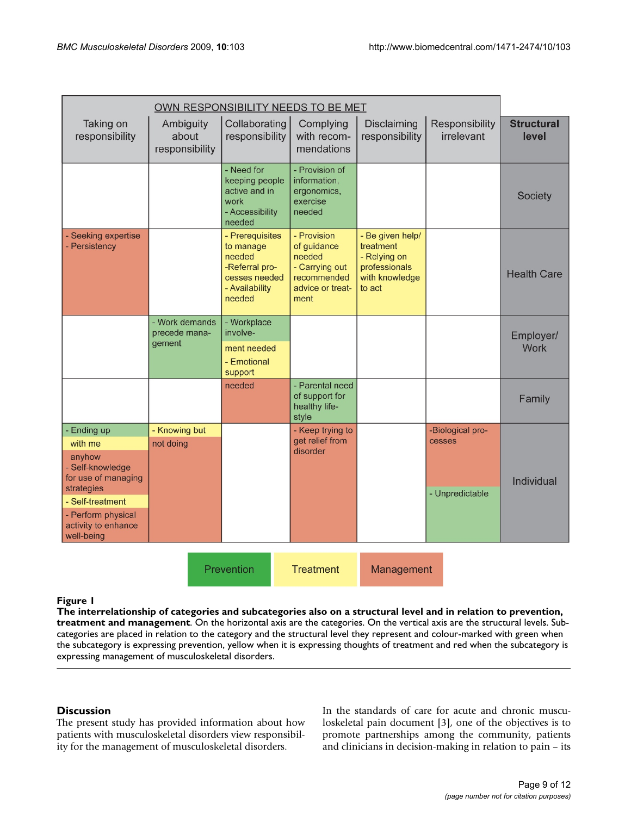| OWN RESPONSIBILITY NEEDS TO BE MET                                                                                                                                       |                                           |                                                                                                       |                                                                                                   |                                                                                            |                                               |                            |  |  |  |
|--------------------------------------------------------------------------------------------------------------------------------------------------------------------------|-------------------------------------------|-------------------------------------------------------------------------------------------------------|---------------------------------------------------------------------------------------------------|--------------------------------------------------------------------------------------------|-----------------------------------------------|----------------------------|--|--|--|
| Taking on<br>responsibility                                                                                                                                              | Ambiguity<br>about<br>responsibility      |                                                                                                       | Complying<br>with recom-<br>mendations                                                            | Disclaiming<br>responsibility                                                              | Responsibility<br>irrelevant                  | <b>Structural</b><br>level |  |  |  |
|                                                                                                                                                                          |                                           | - Need for<br>keeping people<br>active and in<br>work<br>- Accessibility<br>needed                    | - Provision of<br>information,<br>ergonomics,<br>exercise<br>needed                               |                                                                                            |                                               | Society                    |  |  |  |
| Seeking expertise<br>Persistency                                                                                                                                         |                                           | - Prerequisites<br>to manage<br>needed<br>-Referral pro-<br>cesses needed<br>- Availability<br>needed | - Provision<br>of guidance<br>needed<br>- Carrying out<br>recommended<br>advice or treat-<br>ment | - Be given help/<br>treatment<br>- Relying on<br>professionals<br>with knowledge<br>to act |                                               | <b>Health Care</b>         |  |  |  |
|                                                                                                                                                                          | - Work demands<br>precede mana-<br>gement | - Workplace<br>involve-<br>ment needed<br>- Emotional<br>support                                      |                                                                                                   |                                                                                            |                                               | Employer/<br>Work          |  |  |  |
|                                                                                                                                                                          |                                           | needed                                                                                                | - Parental need<br>of support for<br>healthy life-<br>style                                       |                                                                                            |                                               | Family                     |  |  |  |
| - Ending up<br>with me<br>anyhow<br>- Self-knowledge<br>for use of managing<br>strategies<br>- Self-treatment<br>- Perform physical<br>activity to enhance<br>well-being | - Knowing but<br>not doing                |                                                                                                       | - Keep trying to<br>get relief from<br>disorder                                                   |                                                                                            | -Biological pro-<br>cesses<br>- Unpredictable | Individual                 |  |  |  |
|                                                                                                                                                                          |                                           | Prevention                                                                                            | <b>Treatment</b>                                                                                  | Management                                                                                 |                                               |                            |  |  |  |

# The interrelationship of categories and s management **Figure 1** ubcategories also on a structural level and in relation to prevention, treatment and

**The interrelationship of categories and subcategories also on a structural level and in relation to prevention, treatment and management**. On the horizontal axis are the categories. On the vertical axis are the structural levels. Subcategories are placed in relation to the category and the structural level they represent and colour-marked with green when the subcategory is expressing prevention, yellow when it is expressing thoughts of treatment and red when the subcategory is expressing management of musculoskeletal disorders.

# **Discussion**

The present study has provided information about how patients with musculoskeletal disorders view responsibility for the management of musculoskeletal disorders.

In the standards of care for acute and chronic musculoskeletal pain document [3], one of the objectives is to promote partnerships among the community, patients and clinicians in decision-making in relation to pain – its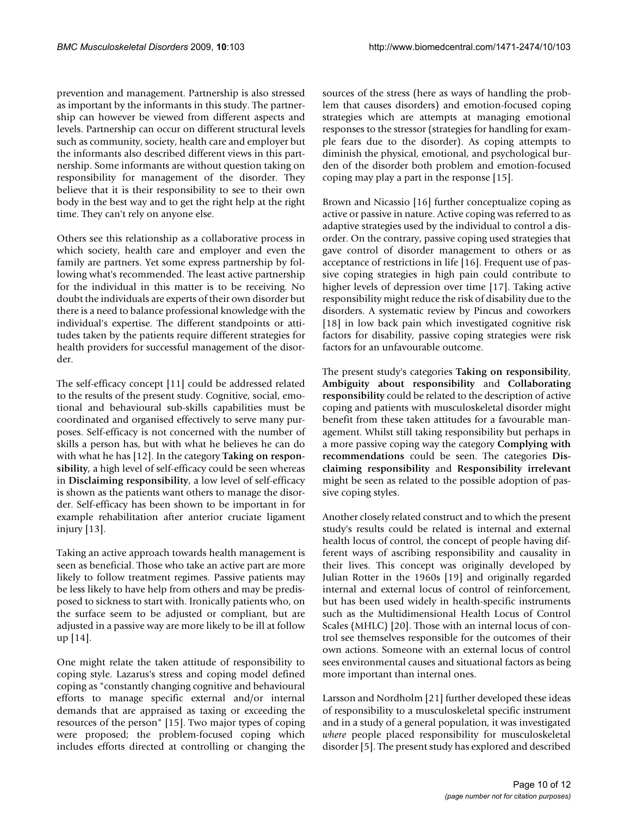prevention and management. Partnership is also stressed as important by the informants in this study. The partnership can however be viewed from different aspects and levels. Partnership can occur on different structural levels such as community, society, health care and employer but the informants also described different views in this partnership. Some informants are without question taking on responsibility for management of the disorder. They believe that it is their responsibility to see to their own body in the best way and to get the right help at the right time. They can't rely on anyone else.

Others see this relationship as a collaborative process in which society, health care and employer and even the family are partners. Yet some express partnership by following what's recommended. The least active partnership for the individual in this matter is to be receiving. No doubt the individuals are experts of their own disorder but there is a need to balance professional knowledge with the individual's expertise. The different standpoints or attitudes taken by the patients require different strategies for health providers for successful management of the disorder.

The self-efficacy concept [11] could be addressed related to the results of the present study. Cognitive, social, emotional and behavioural sub-skills capabilities must be coordinated and organised effectively to serve many purposes. Self-efficacy is not concerned with the number of skills a person has, but with what he believes he can do with what he has [12]. In the category **Taking on responsibility**, a high level of self-efficacy could be seen whereas in **Disclaiming responsibility**, a low level of self-efficacy is shown as the patients want others to manage the disorder. Self-efficacy has been shown to be important in for example rehabilitation after anterior cruciate ligament injury [13].

Taking an active approach towards health management is seen as beneficial. Those who take an active part are more likely to follow treatment regimes. Passive patients may be less likely to have help from others and may be predisposed to sickness to start with. Ironically patients who, on the surface seem to be adjusted or compliant, but are adjusted in a passive way are more likely to be ill at follow up [14].

One might relate the taken attitude of responsibility to coping style. Lazarus's stress and coping model defined coping as "constantly changing cognitive and behavioural efforts to manage specific external and/or internal demands that are appraised as taxing or exceeding the resources of the person" [15]. Two major types of coping were proposed; the problem-focused coping which includes efforts directed at controlling or changing the

sources of the stress (here as ways of handling the problem that causes disorders) and emotion-focused coping strategies which are attempts at managing emotional responses to the stressor (strategies for handling for example fears due to the disorder). As coping attempts to diminish the physical, emotional, and psychological burden of the disorder both problem and emotion-focused coping may play a part in the response [15].

Brown and Nicassio [16] further conceptualize coping as active or passive in nature. Active coping was referred to as adaptive strategies used by the individual to control a disorder. On the contrary, passive coping used strategies that gave control of disorder management to others or as acceptance of restrictions in life [16]. Frequent use of passive coping strategies in high pain could contribute to higher levels of depression over time [17]. Taking active responsibility might reduce the risk of disability due to the disorders. A systematic review by Pincus and coworkers [18] in low back pain which investigated cognitive risk factors for disability, passive coping strategies were risk factors for an unfavourable outcome.

The present study's categories **Taking on responsibility**, **Ambiguity about responsibility** and **Collaborating responsibility** could be related to the description of active coping and patients with musculoskeletal disorder might benefit from these taken attitudes for a favourable management. Whilst still taking responsibility but perhaps in a more passive coping way the category **Complying with recommendations** could be seen. The categories **Disclaiming responsibility** and **Responsibility irrelevant** might be seen as related to the possible adoption of passive coping styles.

Another closely related construct and to which the present study's results could be related is internal and external health locus of control, the concept of people having different ways of ascribing responsibility and causality in their lives. This concept was originally developed by Julian Rotter in the 1960s [19] and originally regarded internal and external locus of control of reinforcement, but has been used widely in health-specific instruments such as the Multidimensional Health Locus of Control Scales (MHLC) [20]. Those with an internal locus of control see themselves responsible for the outcomes of their own actions. Someone with an external locus of control sees environmental causes and situational factors as being more important than internal ones.

Larsson and Nordholm [21] further developed these ideas of responsibility to a musculoskeletal specific instrument and in a study of a general population, it was investigated *where* people placed responsibility for musculoskeletal disorder [5]. The present study has explored and described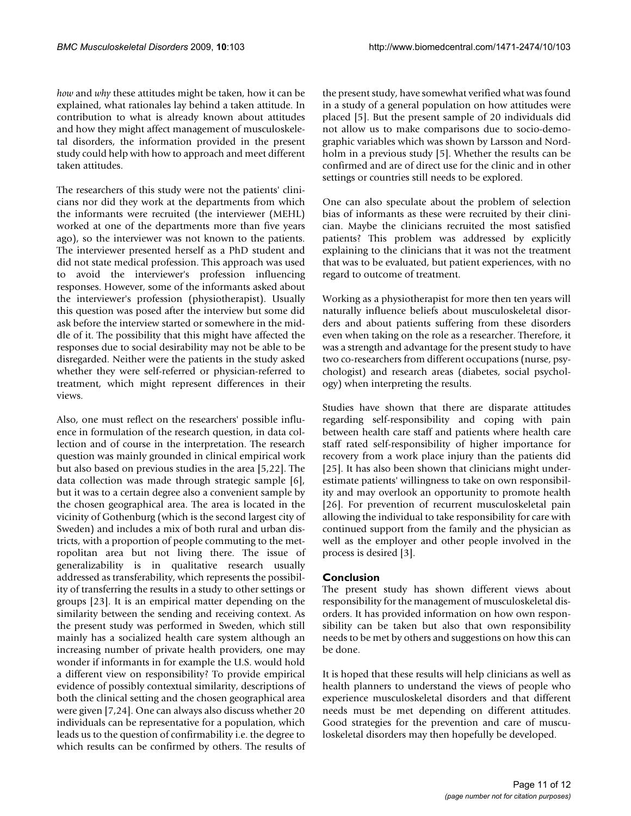*how* and *why* these attitudes might be taken, how it can be explained, what rationales lay behind a taken attitude. In contribution to what is already known about attitudes and how they might affect management of musculoskeletal disorders, the information provided in the present study could help with how to approach and meet different taken attitudes.

The researchers of this study were not the patients' clinicians nor did they work at the departments from which the informants were recruited (the interviewer (MEHL) worked at one of the departments more than five years ago), so the interviewer was not known to the patients. The interviewer presented herself as a PhD student and did not state medical profession. This approach was used to avoid the interviewer's profession influencing responses. However, some of the informants asked about the interviewer's profession (physiotherapist). Usually this question was posed after the interview but some did ask before the interview started or somewhere in the middle of it. The possibility that this might have affected the responses due to social desirability may not be able to be disregarded. Neither were the patients in the study asked whether they were self-referred or physician-referred to treatment, which might represent differences in their views.

Also, one must reflect on the researchers' possible influence in formulation of the research question, in data collection and of course in the interpretation. The research question was mainly grounded in clinical empirical work but also based on previous studies in the area [5,22]. The data collection was made through strategic sample [6], but it was to a certain degree also a convenient sample by the chosen geographical area. The area is located in the vicinity of Gothenburg (which is the second largest city of Sweden) and includes a mix of both rural and urban districts, with a proportion of people commuting to the metropolitan area but not living there. The issue of generalizability is in qualitative research usually addressed as transferability, which represents the possibility of transferring the results in a study to other settings or groups [23]. It is an empirical matter depending on the similarity between the sending and receiving context. As the present study was performed in Sweden, which still mainly has a socialized health care system although an increasing number of private health providers, one may wonder if informants in for example the U.S. would hold a different view on responsibility? To provide empirical evidence of possibly contextual similarity, descriptions of both the clinical setting and the chosen geographical area were given [7,24]. One can always also discuss whether 20 individuals can be representative for a population, which leads us to the question of confirmability i.e. the degree to which results can be confirmed by others. The results of the present study, have somewhat verified what was found in a study of a general population on how attitudes were placed [5]. But the present sample of 20 individuals did not allow us to make comparisons due to socio-demographic variables which was shown by Larsson and Nordholm in a previous study [5]. Whether the results can be confirmed and are of direct use for the clinic and in other settings or countries still needs to be explored.

One can also speculate about the problem of selection bias of informants as these were recruited by their clinician. Maybe the clinicians recruited the most satisfied patients? This problem was addressed by explicitly explaining to the clinicians that it was not the treatment that was to be evaluated, but patient experiences, with no regard to outcome of treatment.

Working as a physiotherapist for more then ten years will naturally influence beliefs about musculoskeletal disorders and about patients suffering from these disorders even when taking on the role as a researcher. Therefore, it was a strength and advantage for the present study to have two co-researchers from different occupations (nurse, psychologist) and research areas (diabetes, social psychology) when interpreting the results.

Studies have shown that there are disparate attitudes regarding self-responsibility and coping with pain between health care staff and patients where health care staff rated self-responsibility of higher importance for recovery from a work place injury than the patients did [25]. It has also been shown that clinicians might underestimate patients' willingness to take on own responsibility and may overlook an opportunity to promote health [26]. For prevention of recurrent musculoskeletal pain allowing the individual to take responsibility for care with continued support from the family and the physician as well as the employer and other people involved in the process is desired [3].

# **Conclusion**

The present study has shown different views about responsibility for the management of musculoskeletal disorders. It has provided information on how own responsibility can be taken but also that own responsibility needs to be met by others and suggestions on how this can be done.

It is hoped that these results will help clinicians as well as health planners to understand the views of people who experience musculoskeletal disorders and that different needs must be met depending on different attitudes. Good strategies for the prevention and care of musculoskeletal disorders may then hopefully be developed.